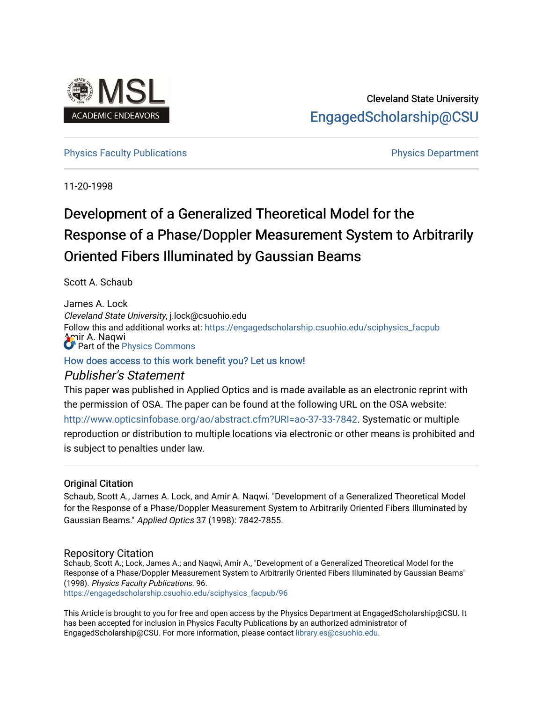

# Cleveland State University [EngagedScholarship@CSU](https://engagedscholarship.csuohio.edu/)

## [Physics Faculty Publications](https://engagedscholarship.csuohio.edu/sciphysics_facpub) **Physics Department**

11-20-1998

# Development of a Generalized Theoretical Model for the Response of a Phase/Doppler Measurement System to Arbitrarily Oriented Fibers Illuminated by Gaussian Beams

Scott A. Schaub

James A. Lock Cleveland State University, j.lock@csuohio.edu mir A. Naqwi Follow this and additional works at: [https://engagedscholarship.csuohio.edu/sciphysics\\_facpub](https://engagedscholarship.csuohio.edu/sciphysics_facpub?utm_source=engagedscholarship.csuohio.edu%2Fsciphysics_facpub%2F96&utm_medium=PDF&utm_campaign=PDFCoverPages) Part of the [Physics Commons](http://network.bepress.com/hgg/discipline/193?utm_source=engagedscholarship.csuohio.edu%2Fsciphysics_facpub%2F96&utm_medium=PDF&utm_campaign=PDFCoverPages)

[How does access to this work benefit you? Let us know!](http://library.csuohio.edu/engaged/)

# Publisher's Statement

This paper was published in Applied Optics and is made available as an electronic reprint with the permission of OSA. The paper can be found at the following URL on the OSA website: <http://www.opticsinfobase.org/ao/abstract.cfm?URI=ao-37-33-7842>. Systematic or multiple reproduction or distribution to multiple locations via electronic or other means is prohibited and is subject to penalties under law.

## Original Citation

Schaub, Scott A., James A. Lock, and Amir A. Naqwi. "Development of a Generalized Theoretical Model for the Response of a Phase/Doppler Measurement System to Arbitrarily Oriented Fibers Illuminated by Gaussian Beams." Applied Optics 37 (1998): 7842-7855.

## Repository Citation

Schaub, Scott A.; Lock, James A.; and Naqwi, Amir A., "Development of a Generalized Theoretical Model for the Response of a Phase/Doppler Measurement System to Arbitrarily Oriented Fibers Illuminated by Gaussian Beams" (1998). Physics Faculty Publications. 96.

[https://engagedscholarship.csuohio.edu/sciphysics\\_facpub/96](https://engagedscholarship.csuohio.edu/sciphysics_facpub/96?utm_source=engagedscholarship.csuohio.edu%2Fsciphysics_facpub%2F96&utm_medium=PDF&utm_campaign=PDFCoverPages) 

This Article is brought to you for free and open access by the Physics Department at EngagedScholarship@CSU. It has been accepted for inclusion in Physics Faculty Publications by an authorized administrator of EngagedScholarship@CSU. For more information, please contact [library.es@csuohio.edu](mailto:library.es@csuohio.edu).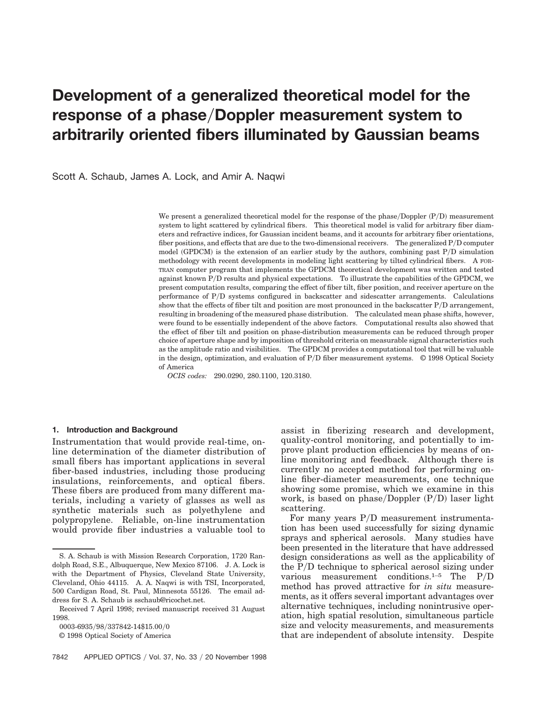# **Development of a generalized theoretical model for the** response of a phase/Doppler measurement system to **arbitrarily oriented fibers illuminated by Gaussian beams**

Scott A. Schaub, James A. Lock, and Amir A. Naqwi

We present a generalized theoretical model for the response of the phase/Doppler  $(P/D)$  measurement system to light scattered by cylindrical fibers. This theoretical model is valid for arbitrary fiber diameters and refractive indices, for Gaussian incident beams, and it accounts for arbitrary fiber orientations, fiber positions, and effects that are due to the two-dimensional receivers. The generalized P/D computer model (GPDCM) is the extension of an earlier study by the authors, combining past  $P/D$  simulation methodology with recent developments in modeling light scattering by tilted cylindrical fibers. A FOR-TRAN computer program that implements the GPDCM theoretical development was written and tested against known P/D results and physical expectations. To illustrate the capabilities of the GPDCM, we present computation results, comparing the effect of fiber tilt, fiber position, and receiver aperture on the performance of PyD systems configured in backscatter and sidescatter arrangements. Calculations show that the effects of fiber tilt and position are most pronounced in the backscatter  $P/D$  arrangement, resulting in broadening of the measured phase distribution. The calculated mean phase shifts, however, were found to be essentially independent of the above factors. Computational results also showed that the effect of fiber tilt and position on phase-distribution measurements can be reduced through proper choice of aperture shape and by imposition of threshold criteria on measurable signal characteristics such as the amplitude ratio and visibilities. The GPDCM provides a computational tool that will be valuable in the design, optimization, and evaluation of P/D fiber measurement systems. © 1998 Optical Society of America

*OCIS codes:* 290.0290, 280.1100, 120.3180.

#### **1. Introduction and Background**

Instrumentation that would provide real-time, online determination of the diameter distribution of small fibers has important applications in several fiber-based industries, including those producing insulations, reinforcements, and optical fibers. These fibers are produced from many different materials, including a variety of glasses as well as synthetic materials such as polyethylene and polypropylene. Reliable, on-line instrumentation would provide fiber industries a valuable tool to

currently no accepted method for performing online fiber-diameter measurements, one technique showing some promise, which we examine in this work, is based on phase/Doppler  $(P/D)$  laser light scattering. For many years  $P/D$  measurement instrumentation has been used successfully for sizing dynamic sprays and spherical aerosols. Many studies have

been presented in the literature that have addressed design considerations as well as the applicability of the PyD technique to spherical aerosol sizing under various measurement conditions.<sup>1-5</sup> The  $P/D$ method has proved attractive for *in situ* measurements, as it offers several important advantages over alternative techniques, including nonintrusive operation, high spatial resolution, simultaneous particle size and velocity measurements, and measurements that are independent of absolute intensity. Despite

assist in fiberizing research and development, quality-control monitoring, and potentially to improve plant production efficiencies by means of online monitoring and feedback. Although there is

S. A. Schaub is with Mission Research Corporation, 1720 Randolph Road, S.E., Albuquerque, New Mexico 87106. J. A. Lock is with the Department of Physics, Cleveland State University, Cleveland, Ohio 44115. A. A. Naqwi is with TSI, Incorporated, 500 Cardigan Road, St. Paul, Minnesota 55126. The email address for S. A. Schaub is sschaub@ricochet.net.

Received 7 April 1998; revised manuscript received 31 August 1998.

<sup>0003-6935/98/337842-14\$15.00/0</sup> 

<sup>© 1998</sup> Optical Society of America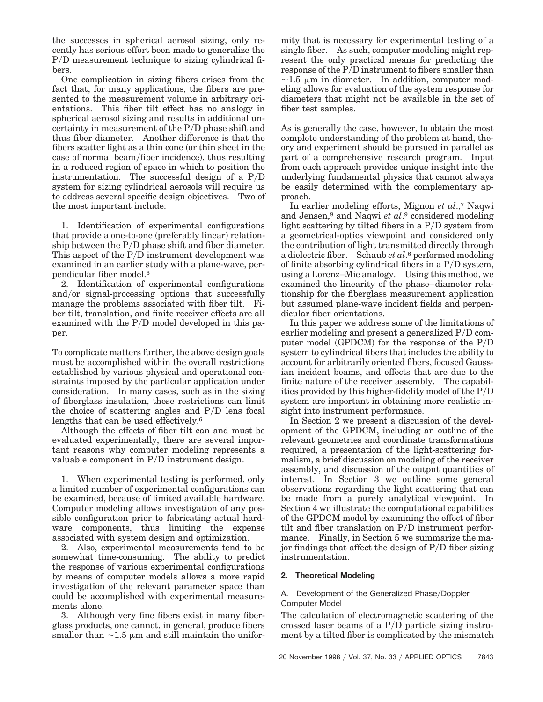the successes in spherical aerosol sizing, only recently has serious effort been made to generalize the P/D measurement technique to sizing cylindrical fibers.

One complication in sizing fibers arises from the fact that, for many applications, the fibers are presented to the measurement volume in arbitrary orientations. This fiber tilt effect has no analogy in spherical aerosol sizing and results in additional uncertainty in measurement of the  $P/D$  phase shift and thus fiber diameter. Another difference is that the fibers scatter light as a thin cone (or thin sheet in the case of normal beam/fiber incidence), thus resulting in a reduced region of space in which to position the instrumentation. The successful design of a  $P/D$ system for sizing cylindrical aerosols will require us to address several specific design objectives. Two of the most important include:

1. Identification of experimental configurations that provide a one-to-one (preferably linear) relationship between the  $P/D$  phase shift and fiber diameter. This aspect of the  $P/D$  instrument development was examined in an earlier study with a plane-wave, perpendicular fiber model.6

2. Identification of experimental configurations and/or signal-processing options that successfully manage the problems associated with fiber tilt. Fiber tilt, translation, and finite receiver effects are all examined with the  $P/D$  model developed in this paper.

To complicate matters further, the above design goals must be accomplished within the overall restrictions established by various physical and operational constraints imposed by the particular application under consideration. In many cases, such as in the sizing of fiberglass insulation, these restrictions can limit the choice of scattering angles and  $P/D$  lens focal lengths that can be used effectively.6

Although the effects of fiber tilt can and must be evaluated experimentally, there are several important reasons why computer modeling represents a valuable component in  $P/D$  instrument design.

1. When experimental testing is performed, only a limited number of experimental configurations can be examined, because of limited available hardware. Computer modeling allows investigation of any possible configuration prior to fabricating actual hardware components, thus limiting the expense associated with system design and optimization.

2. Also, experimental measurements tend to be somewhat time-consuming. The ability to predict the response of various experimental configurations by means of computer models allows a more rapid investigation of the relevant parameter space than could be accomplished with experimental measurements alone.

3. Although very fine fibers exist in many fiberglass products, one cannot, in general, produce fibers smaller than  $\sim$ 1.5  $\mu$ m and still maintain the uniformity that is necessary for experimental testing of a single fiber. As such, computer modeling might represent the only practical means for predicting the response of the  $\overline{P/D}$  instrument to fibers smaller than  $\sim$ 1.5 µm in diameter. In addition, computer modeling allows for evaluation of the system response for diameters that might not be available in the set of fiber test samples.

As is generally the case, however, to obtain the most complete understanding of the problem at hand, theory and experiment should be pursued in parallel as part of a comprehensive research program. Input from each approach provides unique insight into the underlying fundamental physics that cannot always be easily determined with the complementary approach.

In earlier modeling efforts, Mignon *et al*.,7 Naqwi and Jensen,8 and Naqwi *et al*.9 considered modeling light scattering by tilted fibers in a  $P/D$  system from a geometrical-optics viewpoint and considered only the contribution of light transmitted directly through a dielectric fiber. Schaub *et al*.6 performed modeling of finite absorbing cylindrical fibers in a  $P/D$  system, using a Lorenz–Mie analogy. Using this method, we examined the linearity of the phase–diameter relationship for the fiberglass measurement application but assumed plane-wave incident fields and perpendicular fiber orientations.

In this paper we address some of the limitations of earlier modeling and present a generalized  $P/D$  computer model (GPDCM) for the response of the  $P/D$ system to cylindrical fibers that includes the ability to account for arbitrarily oriented fibers, focused Gaussian incident beams, and effects that are due to the finite nature of the receiver assembly. The capabilities provided by this higher-fidelity model of the  $P/D$ system are important in obtaining more realistic insight into instrument performance.

In Section 2 we present a discussion of the development of the GPDCM, including an outline of the relevant geometries and coordinate transformations required, a presentation of the light-scattering formalism, a brief discussion on modeling of the receiver assembly, and discussion of the output quantities of interest. In Section 3 we outline some general observations regarding the light scattering that can be made from a purely analytical viewpoint. In Section 4 we illustrate the computational capabilities of the GPDCM model by examining the effect of fiber tilt and fiber translation on  $P/D$  instrument performance. Finally, in Section 5 we summarize the major findings that affect the design of  $P/D$  fiber sizing instrumentation.

## **2. Theoretical Modeling**

#### A. Development of the Generalized Phase/Doppler Computer Model

The calculation of electromagnetic scattering of the crossed laser beams of a  $P/D$  particle sizing instrument by a tilted fiber is complicated by the mismatch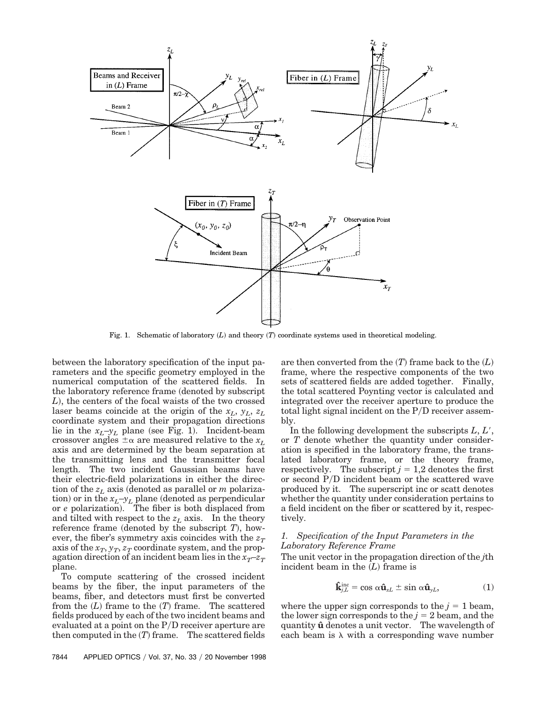

Fig. 1. Schematic of laboratory  $(L)$  and theory  $(T)$  coordinate systems used in theoretical modeling.

between the laboratory specification of the input parameters and the specific geometry employed in the numerical computation of the scattered fields. In the laboratory reference frame (denoted by subscript *L*!, the centers of the focal waists of the two crossed laser beams coincide at the origin of the *xL*, *yL*, *zL* coordinate system and their propagation directions lie in the  $x_L$ – $y_L$  plane (see Fig. 1). Incident-beam crossover angles  $\pm \alpha$  are measured relative to the  $x_L$ axis and are determined by the beam separation at the transmitting lens and the transmitter focal length. The two incident Gaussian beams have their electric-field polarizations in either the direction of the  $z<sub>L</sub>$  axis (denoted as parallel or *m* polarization) or in the  $x_L$ – $y_L$  plane (denoted as perpendicular or *e* polarization). The fiber is both displaced from and tilted with respect to the  $z<sub>L</sub>$  axis. In the theory reference frame (denoted by the subscript  $T$ ), however, the fiber's symmetry axis coincides with the  $z_T$ axis of the  $x_T, y_T, z_T$  coordinate system, and the propagation direction of an incident beam lies in the  $x_T$ – $z_T$ plane.

To compute scattering of the crossed incident beams by the fiber, the input parameters of the beams, fiber, and detectors must first be converted from the  $(L)$  frame to the  $(T)$  frame. The scattered fields produced by each of the two incident beams and evaluated at a point on the  $P/D$  receiver aperture are then computed in the  $(T)$  frame. The scattered fields are then converted from the  $(T)$  frame back to the  $(L)$ frame, where the respective components of the two sets of scattered fields are added together. Finally, the total scattered Poynting vector is calculated and integrated over the receiver aperture to produce the total light signal incident on the  $P/D$  receiver assembly.

In the following development the subscripts  $L, L'$ , or *T* denote whether the quantity under consideration is specified in the laboratory frame, the translated laboratory frame, or the theory frame, respectively. The subscript  $j = 1,2$  denotes the first or second PyD incident beam or the scattered wave produced by it. The superscript inc or scatt denotes whether the quantity under consideration pertains to a field incident on the fiber or scattered by it, respectively.

#### *1. Specification of the Input Parameters in the Laboratory Reference Frame*

The unit vector in the propagation direction of the *j*th incident beam in the  $(L)$  frame is

$$
\mathbf{\hat{k}}_{j,L}^{\text{inc}} = \cos \alpha \mathbf{\hat{u}}_{xL} \pm \sin \alpha \mathbf{\hat{u}}_{yL}, \qquad (1)
$$

where the upper sign corresponds to the  $j = 1$  beam, the lower sign corresponds to the  $j = 2$  beam, and the quantity  $\hat{u}$  denotes a unit vector. The wavelength of each beam is  $\lambda$  with a corresponding wave number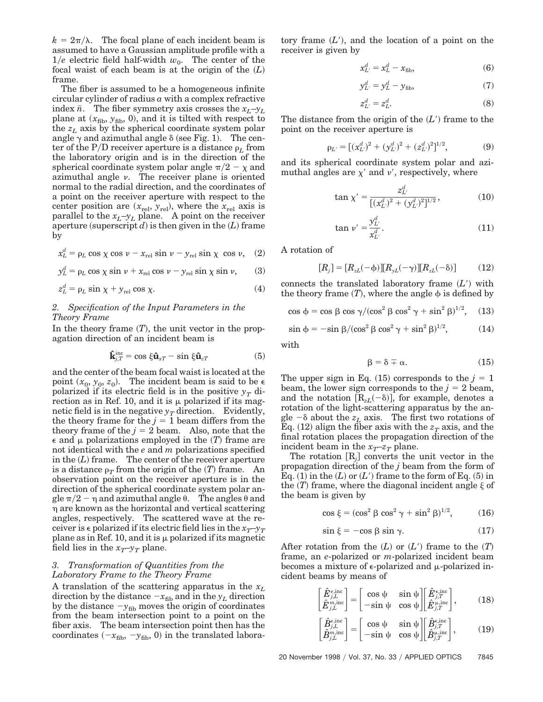$k = 2\pi/\lambda$ . The focal plane of each incident beam is assumed to have a Gaussian amplitude profile with a  $1/e$  electric field half-width  $w_0$ . The center of the focal waist of each beam is at the origin of the  $(L)$ frame.

The fiber is assumed to be a homogeneous infinite circular cylinder of radius *a* with a complex refractive index  $\bar{n}$ . The fiber symmetry axis crosses the  $x_L-y_L$ plane at  $(x_{\text{fib}}, y_{\text{fib}}, 0)$ , and it is tilted with respect to the  $z_L$  axis by the spherical coordinate system polar angle  $\gamma$  and azimuthal angle  $\delta$  (see Fig. 1). The center of the P/D receiver aperture is a distance  $\rho_L$  from the laboratory origin and is in the direction of the spherical coordinate system polar angle  $\pi/2$  –  $\chi$  and azimuthal angle  $\nu$ . The receiver plane is oriented normal to the radial direction, and the coordinates of a point on the receiver aperture with respect to the center position are  $(x_{rel}, y_{rel})$ , where the  $x_{rel}$  axis is parallel to the  $x_L$ – $y_L$  plane. A point on the receiver aperture (superscript  $d$ ) is then given in the  $(L)$  frame by

$$
x_L^d = \rho_L \cos \chi \cos \nu - x_{\text{rel}} \sin \nu - y_{\text{rel}} \sin \chi \cos \nu, \quad (2)
$$

$$
y_L^d = \rho_L \cos \chi \sin \nu + x_{\text{rel}} \cos \nu - y_{\text{rel}} \sin \chi \sin \nu, \qquad (3)
$$

$$
z_L^d = \rho_L \sin \chi + y_{\text{rel}} \cos \chi. \tag{4}
$$

### *2. Specification of the Input Parameters in the Theory Frame*

In the theory frame  $(T)$ , the unit vector in the propagation direction of an incident beam is

$$
\mathbf{\hat{k}}_{j,T}^{\text{inc}} = \cos \xi \mathbf{\hat{u}}_{xT} - \sin \xi \mathbf{\hat{u}}_{zT} \tag{5}
$$

and the center of the beam focal waist is located at the point  $(x_0, y_0, z_0)$ . The incident beam is said to be  $\epsilon$ polarized if its electric field is in the positive  $y_T$  direction as in Ref. 10, and it is  $\mu$  polarized if its magnetic field is in the negative  $y_T$  direction. Evidently, the theory frame for the  $j = 1$  beam differs from the theory frame of the  $j = 2$  beam. Also, note that the  $\epsilon$  and  $\mu$  polarizations employed in the  $(T)$  frame are not identical with the *e* and *m* polarizations specified in the  $(L)$  frame. The center of the receiver aperture is a distance  $\rho_T$  from the origin of the  $(T)$  frame. An observation point on the receiver aperture is in the direction of the spherical coordinate system polar angle  $\pi/2$  –  $\eta$  and azimuthal angle  $\theta$ . The angles  $\theta$  and h are known as the horizontal and vertical scattering angles, respectively. The scattered wave at the receiver is  $\epsilon$  polarized if its electric field lies in the  $x_T - y_T$ plane as in Ref. 10, and it is  $\mu$  polarized if its magnetic field lies in the  $x_T$ – $y_T$  plane.

#### *3. Transformation of Quantities from the Laboratory Frame to the Theory Frame*

A translation of the scattering apparatus in the *xL* direction by the distance  $-x_{\text{fib}}$  and in the  $y_L$  direction by the distance  $-y_{\text{fib}}$  moves the origin of coordinates from the beam intersection point to a point on the fiber axis. The beam intersection point then has the coordinates  $(-x_{\text{fib}}, -y_{\text{fib}}, 0)$  in the translated laboratory frame  $(L')$ , and the location of a point on the receiver is given by

$$
x_{L'}^d = x_L^d - x_{\text{fib}},\tag{6}
$$

$$
y_{L'}^d = y_L^d - y_{\text{fib}},\tag{7}
$$

$$
z_{L'}^d = z_L^d. \tag{8}
$$

The distance from the origin of the  $(L')$  frame to the point on the receiver aperture is

$$
\rho_{L'} = \left[ (x_{L'}^d)^2 + (y_{L'}^d)^2 + (z_{L'}^d)^2 \right]^{1/2},\tag{9}
$$

and its spherical coordinate system polar and azimuthal angles are  $\chi'$  and  $\nu'$ , respectively, where

$$
\tan \chi' = \frac{z_L^d}{\left[ (x_L^d)^2 + (y_L^d)^2 \right]^{1/2}},\tag{10}
$$

$$
\tan \nu' = \frac{y_{L'}^d}{x_{L'}^d}.
$$
\n(11)

A rotation of

$$
[R_j] = [R_{zL}(-\phi)][R_{yL}(-\gamma)][R_{zL}(-\delta)] \tag{12}
$$

connects the translated laboratory frame  $(L')$  with the theory frame  $(T)$ , where the angle  $\phi$  is defined by

$$
\cos \phi = \cos \beta \cos \gamma / (\cos^2 \beta \cos^2 \gamma + \sin^2 \beta)^{1/2}, \quad (13)
$$

$$
\sin \phi = -\sin \beta / (\cos^2 \beta \cos^2 \gamma + \sin^2 \beta)^{1/2}, \tag{14}
$$

with

$$
\beta = \delta \mp \alpha. \tag{15}
$$

The upper sign in Eq.  $(15)$  corresponds to the  $j = 1$ beam, the lower sign corresponds to the  $j = 2$  beam, and the notation  $[R_{zL}(-\delta)]$ , for example, denotes a rotation of the light-scattering apparatus by the angle  $-\delta$  about the  $z_L$  axis. The first two rotations of Eq.  $(12)$  align the fiber axis with the  $z_T$  axis, and the final rotation places the propagation direction of the incident beam in the  $x_T$ – $z_T$  plane.

The rotation  $[R_j]$  converts the unit vector in the propagation direction of the *j* beam from the form of Eq.  $(1)$  in the  $(L)$  or  $(L')$  frame to the form of Eq.  $(5)$  in the  $(T)$  frame, where the diagonal incident angle  $\xi$  of the beam is given by

$$
\cos \xi = (\cos^2 \beta \cos^2 \gamma + \sin^2 \beta)^{1/2}, \quad (16)
$$

$$
\sin \xi = -\cos \beta \sin \gamma. \tag{17}
$$

After rotation from the  $(L)$  or  $(L')$  frame to the  $(T)$ frame, an *e*-polarized or *m*-polarized incident beam becomes a mixture of  $\epsilon$ -polarized and  $\mu$ -polarized incident beams by means of

$$
\begin{bmatrix} \hat{E}_{j,L}^{e,\text{inc}} \\ \hat{E}_{j,L}^{m,\text{inc}} \end{bmatrix} = \begin{bmatrix} \cos \psi & \sin \psi \\ -\sin \psi & \cos \psi \end{bmatrix} \begin{bmatrix} \hat{E}_{j,T}^{e,\text{inc}} \\ \hat{E}_{j,T}^{m,\text{inc}} \end{bmatrix}, \quad (18)
$$

$$
\begin{bmatrix}\n\hat{B}_{j,L}^{\text{e,inc}} \\
\hat{B}_{j,L}^{\text{m,inc}}\n\end{bmatrix} = \begin{bmatrix}\n\cos \psi & \sin \psi \\
-\sin \psi & \cos \psi\n\end{bmatrix} \begin{bmatrix}\n\hat{B}_{j,T}^{\text{e,inc}} \\
\hat{B}_{j,T}^{\text{m,inc}}\n\end{bmatrix},
$$
\n(19)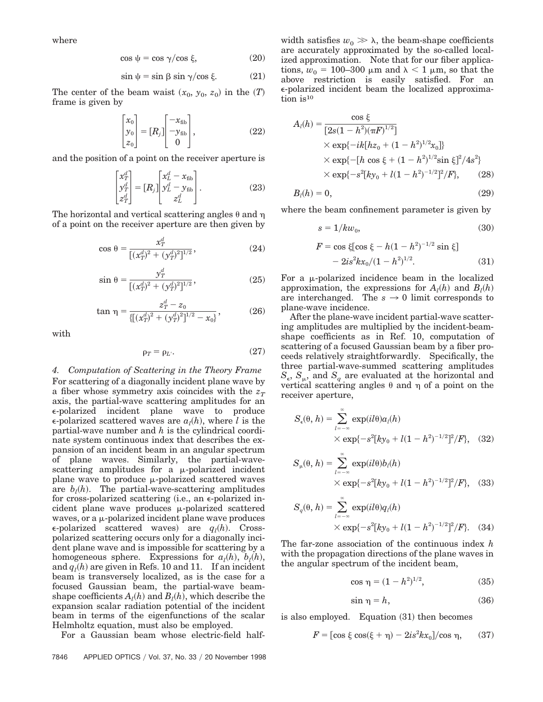where

$$
\cos \psi = \cos \gamma / \cos \xi, \tag{20}
$$

$$
\sin \psi = \sin \beta \sin \gamma / \cos \xi. \tag{21}
$$

The center of the beam waist  $(x_0, y_0, z_0)$  in the  $(T)$ frame is given by

$$
\begin{bmatrix} x_0 \\ y_0 \\ z_0 \end{bmatrix} = [R_j] \begin{bmatrix} -x_{\text{fib}} \\ -y_{\text{fib}} \\ 0 \end{bmatrix},
$$
\n(22)

and the position of a point on the receiver aperture is

$$
\begin{bmatrix} x_T^d \\ y_T^d \\ z_T^d \end{bmatrix} = [R_j] \begin{bmatrix} x_L^d - x_{\text{fib}} \\ y_L^d - y_{\text{fib}}^d \\ z_L^d \end{bmatrix} . \tag{23}
$$

The horizontal and vertical scattering angles  $\theta$  and  $\eta$ of a point on the receiver aperture are then given by

$$
\cos \theta = \frac{x_T^d}{\left[ (x_T^d)^2 + (y_T^d)^2 \right]^{1/2}},\tag{24}
$$

$$
\sin \theta = \frac{y_T^d}{\left[ (x_T^d)^2 + (y_T^d)^2 \right]^{1/2}},\tag{25}
$$

$$
\tan \eta = \frac{z_T^d - z_0}{\{[(x_T^d)^2 + (y_T^d)^2]^{1/2} - x_0\}},\tag{26}
$$

with

$$
\rho_T = \rho_{L'}.\tag{27}
$$

*4. Computation of Scattering in the Theory Frame* For scattering of a diagonally incident plane wave by a fiber whose symmetry axis coincides with the  $z_T$ axis, the partial-wave scattering amplitudes for an e-polarized incident plane wave to produce  $\epsilon$ -polarized scattered waves are  $a_l(h)$ , where *l* is the partial-wave number and *h* is the cylindrical coordinate system continuous index that describes the expansion of an incident beam in an angular spectrum of plane waves. Similarly, the partial-wavescattering amplitudes for a  $\mu$ -polarized incident plane wave to produce  $\mu$ -polarized scattered waves are  $b_l(h)$ . The partial-wave-scattering amplitudes for cross-polarized scattering  $(i.e., an \epsilon$ -polarized incident plane wave produces  $\mu$ -polarized scattered waves, or a  $\mu$ -polarized incident plane wave produces  $\epsilon$ -polarized scattered waves) are  $q_l(h)$ . Crosspolarized scattering occurs only for a diagonally incident plane wave and is impossible for scattering by a homogeneous sphere. Expressions for  $a_l(h)$ ,  $b_l(h)$ , and  $q_l(h)$  are given in Refs. 10 and 11. If an incident beam is transversely localized, as is the case for a focused Gaussian beam, the partial-wave beamshape coefficients  $A_l(h)$  and  $B_l(h)$ , which describe the expansion scalar radiation potential of the incident beam in terms of the eigenfunctions of the scalar Helmholtz equation, must also be employed.

For a Gaussian beam whose electric-field half-

width satisfies  $w_0 \gg \lambda$ , the beam-shape coefficients are accurately approximated by the so-called localized approximation. Note that for our fiber applications,  $w_0 = 100-300 \mu m$  and  $\lambda < 1 \mu m$ , so that the above restriction is easily satisfied. For an e-polarized incident beam the localized approximation is<sup>10</sup>

$$
A_{l}(h) = \frac{\cos \xi}{[2s(1-h^{2})(\pi F)^{1/2}]}
$$
  
×  $\exp{-ik[hz_{0} + (1-h^{2})^{1/2}x_{0}]}$   
×  $\exp{-[h \cos \xi + (1-h^{2})^{1/2} \sin \xi]^{2}/4s^{2}}$   
×  $\exp{-s^{2}[ky_{0} + l(1-h^{2})^{-1/2}]^{2}/F}$ , (28)

$$
B_l(h) = 0,\t\t(29)
$$

where the beam confinement parameter is given by

$$
s = 1/kw_0,\tag{30}
$$

$$
F = \cos \xi [\cos \xi - h(1 - h^2)^{-1/2} \sin \xi]
$$
  
- 2is<sup>2</sup>kx<sub>0</sub>/(1 - h<sup>2</sup>)<sup>1/2</sup>. (31)

For a  $\mu$ -polarized incidence beam in the localized approximation, the expressions for  $A_l(h)$  and  $B_l(h)$ are interchanged. The  $s \to 0$  limit corresponds to plane-wave incidence.

After the plane-wave incident partial-wave scattering amplitudes are multiplied by the incident-beamshape coefficients as in Ref. 10, computation of scattering of a focused Gaussian beam by a fiber proceeds relatively straightforwardly. Specifically, the three partial-wave-summed scattering amplitudes  $S_{\epsilon}$ ,  $S_{\mu}$ , and  $S_{q}$  are evaluated at the horizontal and vertical scattering angles  $\theta$  and  $\eta$  of a point on the receiver aperture,

$$
S_{\epsilon}(\theta, h) = \sum_{l=-\infty}^{\infty} \exp(il\theta) a_{l}(h)
$$
  
×  $\exp\{-s^{2}[ky_{0} + l(1-h^{2})^{-1/2}]^{2}/F\},$  (32)

$$
S_{\mu}(\theta, h) = \sum_{l=-\infty}^{\infty} \exp(il\theta) b_{l}(h)
$$
  
×  $\exp\{-s^{2}[ky_{0} + l(1-h^{2})^{-1/2}]^{2}/F\},$  (33)

$$
S_q(\theta, h) = \sum_{l = -\infty}^{\infty} \exp(il\theta) q_l(h)
$$
  
×  $\exp\{-s^2[ky_0 + l(1 - h^2)^{-1/2}]^2/F\}$ . (34)

The far-zone association of the continuous index *h* with the propagation directions of the plane waves in the angular spectrum of the incident beam,

$$
\cos \eta = (1 - h^2)^{1/2}, \tag{35}
$$

$$
\sin \eta = h,\tag{36}
$$

is also employed. Equation  $(31)$  then becomes

$$
F = \left[\cos\xi\cos(\xi + \eta) - 2is^2kx_0\right]/\cos\eta, \qquad (37)
$$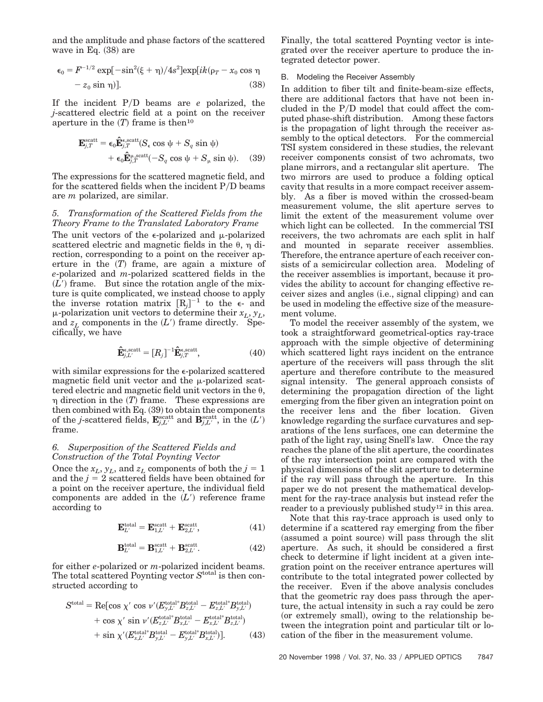and the amplitude and phase factors of the scattered wave in Eq.  $(38)$  are

$$
\epsilon_0 = F^{-1/2} \exp[-\sin^2(\xi + \eta)/4s^2] \exp[ik(\rho_T - x_0 \cos \eta
$$
  
- z<sub>0</sub> sin \eta)]. (38)

If the incident PyD beams are *e* polarized, the *j*-scattered electric field at a point on the receiver aperture in the  $(T)$  frame is then<sup>10</sup>

$$
\mathbf{E}_{j,T}^{\text{scatt}} = \epsilon_0 \hat{\mathbf{E}}_{j,T}^{\epsilon,\text{scatt}} (S_\epsilon \cos \psi + S_q \sin \psi) + \epsilon_0 \hat{\mathbf{E}}_{j,T}^{\mu,\text{scatt}} (-S_q \cos \psi + S_\mu \sin \psi).
$$
 (39)

The expressions for the scattered magnetic field, and for the scattered fields when the incident  $P/D$  beams are *m* polarized, are similar.

#### *5. Transformation of the Scattered Fields from the Theory Frame to the Translated Laboratory Frame*

The unit vectors of the  $\epsilon$ -polarized and  $\mu$ -polarized scattered electric and magnetic fields in the  $\theta$ ,  $\eta$  direction, corresponding to a point on the receiver aperture in the  $(T)$  frame, are again a mixture of *e*-polarized and *m*-polarized scattered fields in the  $(L')$  frame. But since the rotation angle of the mixture is quite complicated, we instead choose to apply the inverse rotation matrix  $[R_j]^{-1}$  to the  $\epsilon$ - and  $\mu$ -polarization unit vectors to determine their  $x_L$ ,  $y_L$ , and  $z_L$  components in the  $(L)$  frame directly. Specifically, we have

$$
\hat{\mathbf{E}}_{j,L'}^{\epsilon,\text{scatt}} = [R_j]^{-1} \hat{\mathbf{E}}_{j,T}^{\epsilon,\text{scatt}},\tag{40}
$$

with similar expressions for the  $\epsilon$ -polarized scattered magnetic field unit vector and the  $\mu$ -polarized scattered electric and magnetic field unit vectors in the  $\theta$ ,  $\eta$  direction in the  $(T)$  frame. These expressions are then combined with Eq.  $(39)$  to obtain the components of the *j*-scattered fields,  $\mathbf{E}_{j,L'}^{\text{scatt}}$  and  $\mathbf{B}_{j,L'}^{\text{scatt}}$ , in the  $(L')$ frame.

#### *6. Superposition of the Scattered Fields and Construction of the Total Poynting Vector*

Once the  $x_L$ ,  $y_L$ , and  $z_L$  components of both the  $j = 1$ and the  $j = 2$  scattered fields have been obtained for a point on the receiver aperture, the individual field components are added in the  $(L')$  reference frame according to

$$
\mathbf{E}_{L'}^{\text{total}} = \mathbf{E}_{1,L'}^{\text{scatt}} + \mathbf{E}_{2,L'}^{\text{scatt}},\tag{41}
$$

$$
\mathbf{B}_{L'}^{\text{total}} = \mathbf{B}_{1,L'}^{\text{scatt}} + \mathbf{B}_{2,L'}^{\text{scatt}}.\tag{42}
$$

for either *e*-polarized or *m*-polarized incident beams. The total scattered Poynting vector *S*total is then constructed according to

$$
Stotal = \text{Re}[\cos \chi' \cos \nu'(E_{y,L'}^{\text{total*}} B_{z,L'}^{\text{total*}} - E_{z,L'}^{\text{total*}} B_{y,L'}^{\text{total}}) + \cos \chi' \sin \nu'(E_{z,L'}^{\text{total*}} B_{x,L'}^{\text{total}} - E_{x,L'}^{\text{total*}} B_{z,L'}^{\text{total}}) + \sin \chi'(E_{x,L'}^{\text{total*}} B_{y,L'}^{\text{total*}} - E_{y,L'}^{\text{total*}} B_{x,L'}^{\text{total}})].
$$
(43)

Finally, the total scattered Poynting vector is integrated over the receiver aperture to produce the integrated detector power.

#### B. Modeling the Receiver Assembly

In addition to fiber tilt and finite-beam-size effects, there are additional factors that have not been included in the  $P/D$  model that could affect the computed phase-shift distribution. Among these factors is the propagation of light through the receiver assembly to the optical detectors. For the commercial TSI system considered in these studies, the relevant receiver components consist of two achromats, two plane mirrors, and a rectangular slit aperture. The two mirrors are used to produce a folding optical cavity that results in a more compact receiver assembly. As a fiber is moved within the crossed-beam measurement volume, the slit aperture serves to limit the extent of the measurement volume over which light can be collected. In the commercial TSI receivers, the two achromats are each split in half and mounted in separate receiver assemblies. Therefore, the entrance aperture of each receiver consists of a semicircular collection area. Modeling of the receiver assemblies is important, because it provides the ability to account for changing effective receiver sizes and angles (i.e., signal clipping) and can be used in modeling the effective size of the measurement volume.

To model the receiver assembly of the system, we took a straightforward geometrical-optics ray-trace approach with the simple objective of determining which scattered light rays incident on the entrance aperture of the receivers will pass through the slit aperture and therefore contribute to the measured signal intensity. The general approach consists of determining the propagation direction of the light emerging from the fiber given an integration point on the receiver lens and the fiber location. Given knowledge regarding the surface curvatures and separations of the lens surfaces, one can determine the path of the light ray, using Snell's law. Once the ray reaches the plane of the slit aperture, the coordinates of the ray intersection point are compared with the physical dimensions of the slit aperture to determine if the ray will pass through the aperture. In this paper we do not present the mathematical development for the ray-trace analysis but instead refer the reader to a previously published study<sup>12</sup> in this area.

Note that this ray-trace approach is used only to determine if a scattered ray emerging from the fiber (assumed a point source) will pass through the slit aperture. As such, it should be considered a first check to determine if light incident at a given integration point on the receiver entrance apertures will contribute to the total integrated power collected by the receiver. Even if the above analysis concludes that the geometric ray does pass through the aperture, the actual intensity in such a ray could be zero  $\alpha$  (or extremely small), owing to the relationship between the integration point and particular tilt or location of the fiber in the measurement volume.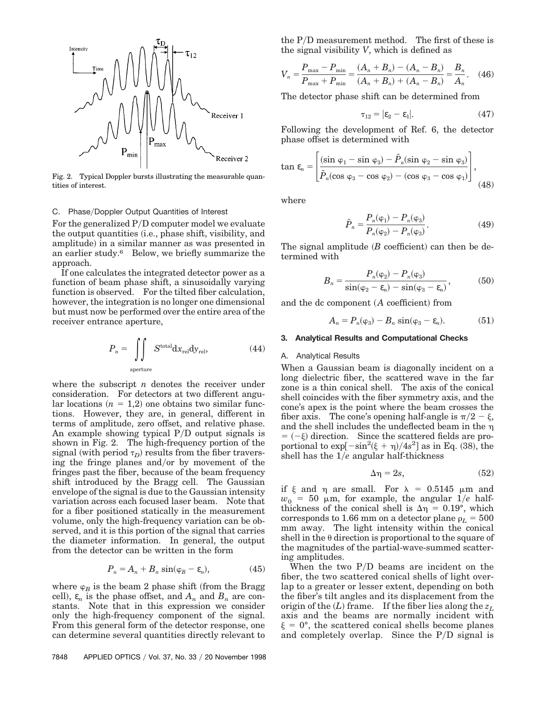

Fig. 2. Typical Doppler bursts illustrating the measurable quantities of interest.

#### C. Phase/Doppler Output Quantities of Interest

For the generalized  $P/D$  computer model we evaluate the output quantities (i.e., phase shift, visibility, and amplitude) in a similar manner as was presented in an earlier study.6 Below, we briefly summarize the approach.

If one calculates the integrated detector power as a function of beam phase shift, a sinusoidally varying function is observed. For the tilted fiber calculation, however, the integration is no longer one dimensional but must now be performed over the entire area of the receiver entrance aperture,

$$
P_n = \iint\limits_{\text{aperture}} S^{\text{total}} \mathrm{d}x_{\text{rel}} \mathrm{d}y_{\text{rel}},\tag{44}
$$

where the subscript *n* denotes the receiver under consideration. For detectors at two different angu $ar$  locations  $(n = 1,2)$  one obtains two similar functions. However, they are, in general, different in terms of amplitude, zero offset, and relative phase. An example showing typical  $P/D$  output signals is shown in Fig. 2. The high-frequency portion of the signal (with period  $\tau_D$ ) results from the fiber traversing the fringe planes and/or by movement of the fringes past the fiber, because of the beam frequency shift introduced by the Bragg cell. The Gaussian envelope of the signal is due to the Gaussian intensity variation across each focused laser beam. Note that for a fiber positioned statically in the measurement volume, only the high-frequency variation can be observed, and it is this portion of the signal that carries the diameter information. In general, the output from the detector can be written in the form

$$
P_n = A_n + B_n \sin(\varphi_B - \varepsilon_n), \tag{45}
$$

where  $\varphi_B$  is the beam 2 phase shift (from the Bragg cell),  $\varepsilon_n$  is the phase offset, and  $A_n$  and  $B_n$  are constants. Note that in this expression we consider only the high-frequency component of the signal. From this general form of the detector response, one can determine several quantities directly relevant to the  $P/D$  measurement method. The first of these is the signal visibility *V*, which is defined as

$$
V_n = \frac{P_{\text{max}} - P_{\text{min}}}{P_{\text{max}} + P_{\text{min}}} = \frac{(A_n + B_n) - (A_n - B_n)}{(A_n + B_n) + (A_n - B_n)} = \frac{B_n}{A_n}.
$$
 (46)

The detector phase shift can be determined from

$$
\tau_{12} = |\varepsilon_2 - \varepsilon_1|.\tag{47}
$$

Following the development of Ref. 6, the detector phase offset is determined with

$$
\tan \varepsilon_n = \left[ \frac{(\sin \varphi_1 - \sin \varphi_3) - \tilde{P}_n(\sin \varphi_2 - \sin \varphi_3)}{\tilde{P}_n(\cos \varphi_3 - \cos \varphi_2) - (\cos \varphi_3 - \cos \varphi_1)} \right],
$$
\n(48)

where

$$
\tilde{P}_n = \frac{P_n(\varphi_1) - P_n(\varphi_3)}{P_n(\varphi_2) - P_n(\varphi_3)}.
$$
\n(49)

The signal amplitude  $(B \text{ coefficient})$  can then be determined with

$$
B_n = \frac{P_n(\varphi_2) - P_n(\varphi_3)}{\sin(\varphi_2 - \varepsilon_n) - \sin(\varphi_3 - \varepsilon_n)},\tag{50}
$$

and the dc component (A coefficient) from

$$
A_n = P_n(\varphi_3) - B_n \sin(\varphi_3 - \varepsilon_n). \tag{51}
$$

#### **3. Analytical Results and Computational Checks**

#### A. Analytical Results

When a Gaussian beam is diagonally incident on a long dielectric fiber, the scattered wave in the far zone is a thin conical shell. The axis of the conical shell coincides with the fiber symmetry axis, and the cone's apex is the point where the beam crosses the fiber axis. The cone's opening half-angle is  $\pi/2 - \xi$ , and the shell includes the undeflected beam in the  $\eta$  $= (-\xi)$  direction. Since the scattered fields are proportional to  $\exp[-\sin^2(\xi + \eta)/4s^2]$  as in Eq. (38), the shell has the  $1/e$  angular half-thickness

$$
\Delta \eta = 2s,\tag{52}
$$

if  $\xi$  and  $\eta$  are small. For  $\lambda = 0.5145$  µm and  $w_0$  = 50  $\mu$ m, for example, the angular 1/*e* halfthickness of the conical shell is  $\Delta \eta = 0.19^{\circ}$ , which corresponds to 1.66 mm on a detector plane  $\rho_L = 500$ mm away. The light intensity within the conical shell in the  $\theta$  direction is proportional to the square of the magnitudes of the partial-wave-summed scattering amplitudes.

When the two  $P/D$  beams are incident on the fiber, the two scattered conical shells of light overlap to a greater or lesser extent, depending on both the fiber's tilt angles and its displacement from the origin of the  $(L)$  frame. If the fiber lies along the  $z_L$ axis and the beams are normally incident with  $\xi = 0^{\circ}$ , the scattered conical shells become planes and completely overlap. Since the  $P/D$  signal is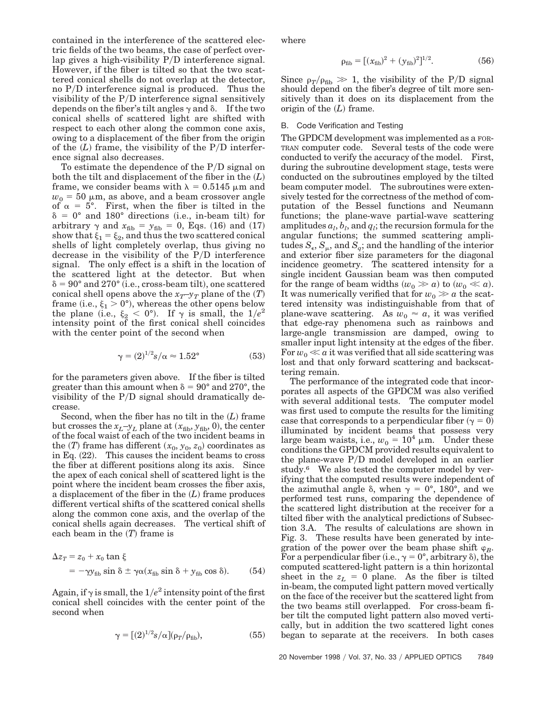contained in the interference of the scattered electric fields of the two beams, the case of perfect overlap gives a high-visibility  $P/D$  interference signal. However, if the fiber is tilted so that the two scattered conical shells do not overlap at the detector, no  $P/D$  interference signal is produced. Thus the visibility of the  $P/D$  interference signal sensitively depends on the fiber's tilt angles  $\gamma$  and  $\delta$ . If the two conical shells of scattered light are shifted with respect to each other along the common cone axis, owing to a displacement of the fiber from the origin of the  $(L)$  frame, the visibility of the  $P/D$  interference signal also decreases.

To estimate the dependence of the  $P/D$  signal on both the tilt and displacement of the fiber in the  $(L)$ frame, we consider beams with  $\lambda = 0.5145 \mu m$  and  $w_0 = 50 \mu m$ , as above, and a beam crossover angle of  $\alpha = 5^{\circ}$ . First, when the fiber is tilted in the  $\delta = 0^{\circ}$  and 180° directions (i.e., in-beam tilt) for arbitrary  $\gamma$  and  $x_{\text{fib}} = y_{\text{fib}} = 0$ , Eqs. (16) and (17) show that  $\xi_1 = \xi_2$ , and thus the two scattered conical shells of light completely overlap, thus giving no decrease in the visibility of the  $P/D$  interference signal. The only effect is a shift in the location of the scattered light at the detector. But when  $\delta = 90^{\circ}$  and  $270^{\circ}$  (i.e., cross-beam tilt), one scattered conical shell opens above the  $x_T$ – $y_T$  plane of the  $(T)$ frame (i.e.,  $\xi_1 > 0^{\circ}$ ), whereas the other opens below the plane (i.e.,  $\xi_2 < 0^\circ$ ). If  $\gamma$  is small, the  $1/e^2$ intensity point of the first conical shell coincides with the center point of the second when

$$
\gamma = (2)^{1/2} s / \alpha \approx 1.52^{\circ}
$$
 (53)

for the parameters given above. If the fiber is tilted greater than this amount when  $\delta = 90^{\circ}$  and 270°, the visibility of the  $P/D$  signal should dramatically decrease.

Second, when the fiber has no tilt in the  $(L)$  frame but crosses the  $x_L$ – $y_L$  plane at  $(x_{fib}, y_{fib}, 0)$ , the center of the focal waist of each of the two incident beams in the  $(T)$  frame has different  $(x_0, y_0, z_0)$  coordinates as in Eq.  $(22)$ . This causes the incident beams to cross the fiber at different positions along its axis. Since the apex of each conical shell of scattered light is the point where the incident beam crosses the fiber axis, a displacement of the fiber in the  $(L)$  frame produces different vertical shifts of the scattered conical shells along the common cone axis, and the overlap of the conical shells again decreases. The vertical shift of each beam in the  $(T)$  frame is

$$
\Delta z_T = z_0 + x_0 \tan \xi
$$
  
= -\gamma y\_{\text{fib}} \sin \delta \pm \gamma \alpha (x\_{\text{fib}} \sin \delta + y\_{\text{fib}} \cos \delta). (54)

Again, if  $\gamma$  is small, the  $1/e^2$  intensity point of the first conical shell coincides with the center point of the second when

$$
\gamma = [(2)^{1/2}s/\alpha](\rho_T/\rho_{\rm fib}),\tag{55}
$$

where

$$
\rho_{\rm fib} = [(x_{\rm fib})^2 + (y_{\rm fib})^2]^{1/2}.
$$
 (56)

Since  $\rho_T/\rho_{\text{fib}} \gg 1$ , the visibility of the P/D signal should depend on the fiber's degree of tilt more sensitively than it does on its displacement from the origin of the  $(L)$  frame.

#### B. Code Verification and Testing

The GPDCM development was implemented as a FOR-TRAN computer code. Several tests of the code were conducted to verify the accuracy of the model. First, during the subroutine development stage, tests were conducted on the subroutines employed by the tilted beam computer model. The subroutines were extensively tested for the correctness of the method of computation of the Bessel functions and Neumann functions; the plane-wave partial-wave scattering  $\text{amplitudes } a_l, b_l, \text{and } q_l; \text{ the recursion formula for the}$ angular functions; the summed scattering amplitudes  $S_{\epsilon}$ ,  $S_{\mu}$ , and  $S_{q}$ ; and the handling of the interior and exterior fiber size parameters for the diagonal incidence geometry. The scattered intensity for a single incident Gaussian beam was then computed for the range of beam widths  $(w_0 \gg a)$  to  $(w_0 \ll a)$ . It was numerically verified that for  $w_0 \gg a$  the scattered intensity was indistinguishable from that of plane-wave scattering. As  $w_0 \approx a$ , it was verified that edge-ray phenomena such as rainbows and large-angle transmission are damped, owing to smaller input light intensity at the edges of the fiber. For  $w_0 \ll a$  it was verified that all side scattering was lost and that only forward scattering and backscattering remain.

The performance of the integrated code that incorporates all aspects of the GPDCM was also verified with several additional tests. The computer model was first used to compute the results for the limiting case that corresponds to a perpendicular fiber  $(y = 0)$ illuminated by incident beams that possess very large beam waists, i.e.,  $w_0 = 10^4 \mu m$ . Under these conditions the GPDCM provided results equivalent to the plane-wave  $P/D$  model developed in an earlier study.6 We also tested the computer model by verifying that the computed results were independent of the azimuthal angle  $\delta$ , when  $\gamma = 0^{\circ}$ , 180°, and we performed test runs, comparing the dependence of the scattered light distribution at the receiver for a tilted fiber with the analytical predictions of Subsection 3.A. The results of calculations are shown in Fig. 3. These results have been generated by integration of the power over the beam phase shift  $\varphi_B$ . For a perpendicular fiber (i.e.,  $\gamma = 0^{\circ}$ , arbitrary  $\delta$ ), the computed scattered-light pattern is a thin horizontal sheet in the  $z_L = 0$  plane. As the fiber is tilted in-beam, the computed light pattern moved vertically on the face of the receiver but the scattered light from the two beams still overlapped. For cross-beam fiber tilt the computed light pattern also moved vertically, but in addition the two scattered light cones began to separate at the receivers. In both cases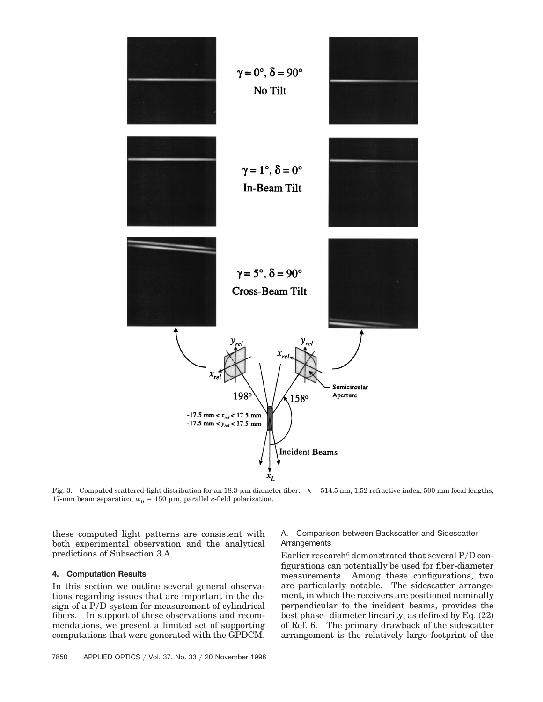

Fig. 3. Computed scattered-light distribution for an 18.3- $\mu$ m diameter fiber:  $\lambda = 514.5$  nm, 1.52 refractive index, 500 mm focal lengths, 17-mm beam separation,  $w_0 = 150 \mu m$ , parallel *e*-field polarization.

these computed light patterns are consistent with both experimental observation and the analytical predictions of Subsection 3.A.

#### **4. Computation Results**

In this section we outline several general observations regarding issues that are important in the design of a  $P/D$  system for measurement of cylindrical fibers. In support of these observations and recommendations, we present a limited set of supporting computations that were generated with the GPDCM.

#### A. Comparison between Backscatter and Sidescatter Arrangements

Earlier research<sup>6</sup> demonstrated that several  $P/D$  configurations can potentially be used for fiber-diameter measurements. Among these configurations, two are particularly notable. The sidescatter arrangement, in which the receivers are positioned nominally perpendicular to the incident beams, provides the best phase–diameter linearity, as defined by Eq.  $(22)$ of Ref. 6. The primary drawback of the sidescatter arrangement is the relatively large footprint of the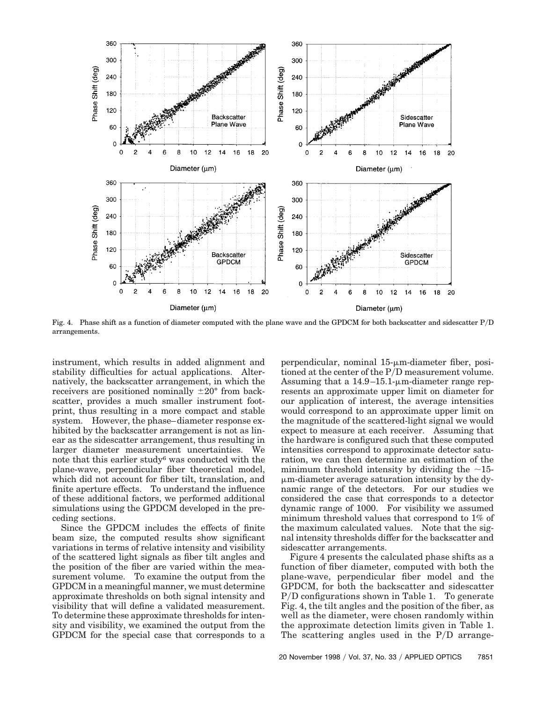

Fig. 4. Phase shift as a function of diameter computed with the plane wave and the GPDCM for both backscatter and sidescatter PyD arrangements.

instrument, which results in added alignment and stability difficulties for actual applications. Alternatively, the backscatter arrangement, in which the receivers are positioned nominally  $\pm 20^{\circ}$  from backscatter, provides a much smaller instrument footprint, thus resulting in a more compact and stable system. However, the phase–diameter response exhibited by the backscatter arrangement is not as linear as the sidescatter arrangement, thus resulting in larger diameter measurement uncertainties. We note that this earlier study6 was conducted with the plane-wave, perpendicular fiber theoretical model, which did not account for fiber tilt, translation, and finite aperture effects. To understand the influence of these additional factors, we performed additional simulations using the GPDCM developed in the preceding sections.

Since the GPDCM includes the effects of finite beam size, the computed results show significant variations in terms of relative intensity and visibility of the scattered light signals as fiber tilt angles and the position of the fiber are varied within the measurement volume. To examine the output from the GPDCM in a meaningful manner, we must determine approximate thresholds on both signal intensity and visibility that will define a validated measurement. To determine these approximate thresholds for intensity and visibility, we examined the output from the GPDCM for the special case that corresponds to a perpendicular, nominal  $15$ - $\mu$ m-diameter fiber, positioned at the center of the P/D measurement volume. Assuming that a  $14.9-15.1$ - $\mu$ m-diameter range represents an approximate upper limit on diameter for our application of interest, the average intensities would correspond to an approximate upper limit on the magnitude of the scattered-light signal we would expect to measure at each receiver. Assuming that the hardware is configured such that these computed intensities correspond to approximate detector saturation, we can then determine an estimation of the minimum threshold intensity by dividing the  $\sim$ 15- $\mu$ m-diameter average saturation intensity by the dynamic range of the detectors. For our studies we considered the case that corresponds to a detector dynamic range of 1000. For visibility we assumed minimum threshold values that correspond to 1% of the maximum calculated values. Note that the signal intensity thresholds differ for the backscatter and sidescatter arrangements.

Figure 4 presents the calculated phase shifts as a function of fiber diameter, computed with both the plane-wave, perpendicular fiber model and the GPDCM, for both the backscatter and sidescatter  $P/D$  configurations shown in Table 1. To generate Fig. 4, the tilt angles and the position of the fiber, as well as the diameter, were chosen randomly within the approximate detection limits given in Table 1. The scattering angles used in the  $P/D$  arrange-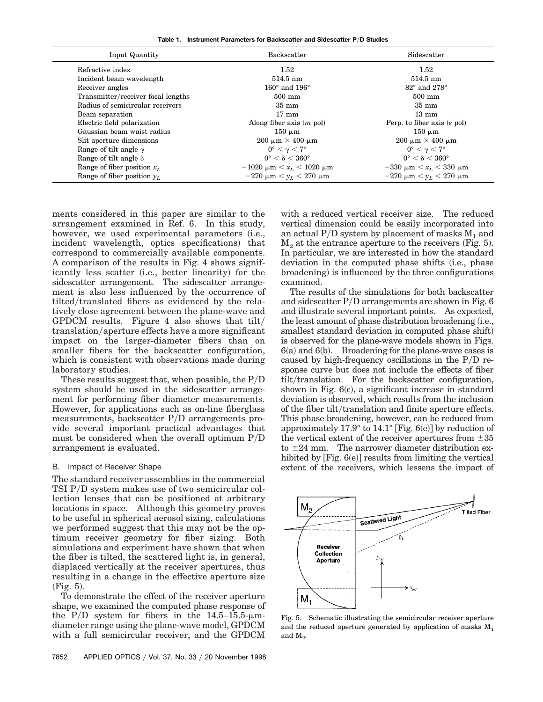**Table 1. Instrument Parameters for Backscatter and Sidescatter P**y**D Studies**

| Input Quantity                     | <b>Backscatter</b>                     | Sidescatter                        |
|------------------------------------|----------------------------------------|------------------------------------|
| Refractive index                   | 1.52                                   | 1.52                               |
| Incident beam wavelength           | $514.5 \text{ nm}$                     | $514.5 \text{ nm}$                 |
| Receiver angles                    | $160^\circ$ and $196^\circ$            | $82^{\circ}$ and $278^{\circ}$     |
| Transmitter/receiver focal lengths | $500 \text{ mm}$                       | $500$ mm                           |
| Radius of semicircular receivers   | $35 \text{ mm}$                        | $35 \text{ mm}$                    |
| Beam separation                    | $17 \text{ mm}$                        | $13 \text{ mm}$                    |
| Electric field polarization        | Along fiber axis $(m \text{ pol})$     | Perp. to fiber axis $(e$ pol)      |
| Gaussian beam waist radius         | $150 \mu m$                            | $150 \mu m$                        |
| Slit aperture dimensions           | $200 \mu m \times 400 \mu m$           | $200 \mu m \times 400 \mu m$       |
| Range of tilt angle $\gamma$       | $0^{\circ} < \gamma < 7^{\circ}$       | $0^{\circ} < \gamma < 7^{\circ}$   |
| Range of tilt angle $\delta$       | $0^\circ < \delta < 360^\circ$         | $0^{\circ} < \delta < 360^{\circ}$ |
| Range of fiber position $x_L$      | $-1020 \mu m \leq x_L \leq 1020 \mu m$ | $-330 \mu m < x_L < 330 \mu m$     |
| Range of fiber position $y_L$      | $-270 \mu m < y_L < 270 \mu m$         | $-270 \mu m < y_L < 270 \mu m$     |

ments considered in this paper are similar to the arrangement examined in Ref. 6. In this study, however, we used experimental parameters (i.e., incident wavelength, optics specifications) that correspond to commercially available components. A comparison of the results in Fig. 4 shows significantly less scatter (i.e., better linearity) for the sidescatter arrangement. The sidescatter arrangement is also less influenced by the occurrence of tilted/translated fibers as evidenced by the relatively close agreement between the plane-wave and GPDCM results. Figure 4 also shows that  $\text{tilt}/$ translation/aperture effects have a more significant impact on the larger-diameter fibers than on smaller fibers for the backscatter configuration, which is consistent with observations made during laboratory studies.

These results suggest that, when possible, the  $P/D$ system should be used in the sidescatter arrangement for performing fiber diameter measurements. However, for applications such as on-line fiberglass measurements, backscatter  $P/D$  arrangements provide several important practical advantages that must be considered when the overall optimum  $P/D$ arrangement is evaluated.

#### B. Impact of Receiver Shape

The standard receiver assemblies in the commercial TSI  $P/D$  system makes use of two semicircular collection lenses that can be positioned at arbitrary locations in space. Although this geometry proves to be useful in spherical aerosol sizing, calculations we performed suggest that this may not be the optimum receiver geometry for fiber sizing. Both simulations and experiment have shown that when the fiber is tilted, the scattered light is, in general, displaced vertically at the receiver apertures, thus resulting in a change in the effective aperture size  $(Fig. 5).$ 

To demonstrate the effect of the receiver aperture shape, we examined the computed phase response of the P/D system for fibers in the  $14.5-15.5$ - $\mu$ mdiameter range using the plane-wave model, GPDCM with a full semicircular receiver, and the GPDCM

with a reduced vertical receiver size. The reduced vertical dimension could be easily incorporated into an actual P/D system by placement of masks  $M_1$  and  $M<sub>2</sub>$  at the entrance aperture to the receivers (Fig. 5). In particular, we are interested in how the standard deviation in the computed phase shifts (i.e., phase broadening) is influenced by the three configurations examined.

The results of the simulations for both backscatter and sidescatter  $P/D$  arrangements are shown in Fig. 6 and illustrate several important points. As expected, the least amount of phase distribution broadening (i.e., smallest standard deviation in computed phase shift) is observed for the plane-wave models shown in Figs.  $6(a)$  and  $6(b)$ . Broadening for the plane-wave cases is caused by high-frequency oscillations in the  $P/D$  response curve but does not include the effects of fiber tilt/translation. For the backscatter configuration, shown in Fig.  $6(c)$ , a significant increase in standard deviation is observed, which results from the inclusion of the fiber tilt/translation and finite aperture effects. This phase broadening, however, can be reduced from approximately 17.9° to 14.1° [Fig. 6(e)] by reduction of the vertical extent of the receiver apertures from  $\pm 35$ to  $\pm 24$  mm. The narrower diameter distribution exhibited by  $[Fig. 6(e)]$  results from limiting the vertical extent of the receivers, which lessens the impact of



Fig. 5. Schematic illustrating the semicircular receiver aperture and the reduced aperture generated by application of masks  $M_1$ and  $M_{2}$ .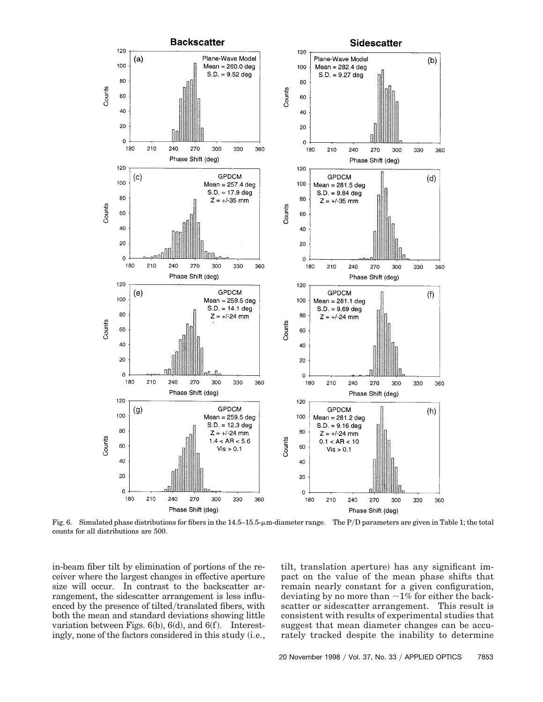

Fig. 6. Simulated phase distributions for fibers in the  $14.5-15.5$ - $\mu$ m-diameter range. The P/D parameters are given in Table 1; the total counts for all distributions are 500.

in-beam fiber tilt by elimination of portions of the receiver where the largest changes in effective aperture size will occur. In contrast to the backscatter arrangement, the sidescatter arrangement is less influenced by the presence of tilted/translated fibers, with both the mean and standard deviations showing little variation between Figs.  $6(b)$ ,  $6(d)$ , and  $6(f)$ . Interestingly, none of the factors considered in this study (i.e., tilt, translation aperture) has any significant impact on the value of the mean phase shifts that remain nearly constant for a given configuration, deviating by no more than  $\sim$ 1% for either the backscatter or sidescatter arrangement. This result is consistent with results of experimental studies that suggest that mean diameter changes can be accurately tracked despite the inability to determine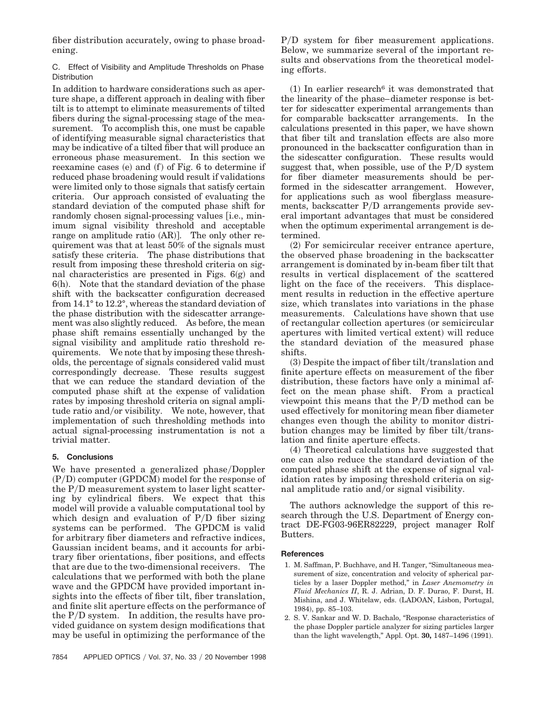fiber distribution accurately, owing to phase broadening.

### C. Effect of Visibility and Amplitude Thresholds on Phase **Distribution**

In addition to hardware considerations such as aperture shape, a different approach in dealing with fiber tilt is to attempt to eliminate measurements of tilted fibers during the signal-processing stage of the measurement. To accomplish this, one must be capable of identifying measurable signal characteristics that may be indicative of a tilted fiber that will produce an erroneous phase measurement. In this section we reexamine cases  $(e)$  and  $(f)$  of Fig. 6 to determine if reduced phase broadening would result if validations were limited only to those signals that satisfy certain criteria. Our approach consisted of evaluating the standard deviation of the computed phase shift for randomly chosen signal-processing values [i.e., minimum signal visibility threshold and acceptable range on amplitude ratio  $(AR)$ . The only other requirement was that at least 50% of the signals must satisfy these criteria. The phase distributions that result from imposing these threshold criteria on signal characteristics are presented in Figs.  $6(g)$  and  $6(h)$ . Note that the standard deviation of the phase shift with the backscatter configuration decreased from 14.1° to 12.2°, whereas the standard deviation of the phase distribution with the sidescatter arrangement was also slightly reduced. As before, the mean phase shift remains essentially unchanged by the signal visibility and amplitude ratio threshold requirements. We note that by imposing these thresholds, the percentage of signals considered valid must correspondingly decrease. These results suggest that we can reduce the standard deviation of the computed phase shift at the expense of validation rates by imposing threshold criteria on signal amplitude ratio and/or visibility. We note, however, that implementation of such thresholding methods into actual signal-processing instrumentation is not a trivial matter.

## **5. Conclusions**

We have presented a generalized phase/Doppler  $(P/D)$  computer (GPDCM) model for the response of the P/D measurement system to laser light scattering by cylindrical fibers. We expect that this model will provide a valuable computational tool by which design and evaluation of  $P/D$  fiber sizing systems can be performed. The GPDCM is valid for arbitrary fiber diameters and refractive indices, Gaussian incident beams, and it accounts for arbitrary fiber orientations, fiber positions, and effects that are due to the two-dimensional receivers. The calculations that we performed with both the plane wave and the GPDCM have provided important insights into the effects of fiber tilt, fiber translation, and finite slit aperture effects on the performance of the  $P/D$  system. In addition, the results have provided guidance on system design modifications that may be useful in optimizing the performance of the

P/D system for fiber measurement applications. Below, we summarize several of the important results and observations from the theoretical modeling efforts.

 $(1)$  In earlier research<sup>6</sup> it was demonstrated that the linearity of the phase–diameter response is better for sidescatter experimental arrangements than for comparable backscatter arrangements. In the calculations presented in this paper, we have shown that fiber tilt and translation effects are also more pronounced in the backscatter configuration than in the sidescatter configuration. These results would suggest that, when possible, use of the  $P/D$  system for fiber diameter measurements should be performed in the sidescatter arrangement. However, for applications such as wool fiberglass measurements, backscatter P/D arrangements provide several important advantages that must be considered when the optimum experimental arrangement is determined.

 $(2)$  For semicircular receiver entrance aperture, the observed phase broadening in the backscatter arrangement is dominated by in-beam fiber tilt that results in vertical displacement of the scattered light on the face of the receivers. This displacement results in reduction in the effective aperture size, which translates into variations in the phase measurements. Calculations have shown that use of rectangular collection apertures (or semicircular apertures with limited vertical extent) will reduce the standard deviation of the measured phase shifts.

 $(3)$  Despite the impact of fiber tilt/translation and finite aperture effects on measurement of the fiber distribution, these factors have only a minimal affect on the mean phase shift. From a practical viewpoint this means that the  $P/D$  method can be used effectively for monitoring mean fiber diameter changes even though the ability to monitor distribution changes may be limited by fiber tilt/ $trans$ lation and finite aperture effects.

(4) Theoretical calculations have suggested that one can also reduce the standard deviation of the computed phase shift at the expense of signal validation rates by imposing threshold criteria on signal amplitude ratio and/or signal visibility.

The authors acknowledge the support of this research through the U.S. Department of Energy contract DE-FG03-96ER82229, project manager Rolf Butters.

#### **References**

- 1. M. Saffman, P. Buchhave, and H. Tanger, "Simultaneous measurement of size, concentration and velocity of spherical particles by a laser Doppler method," in *Laser Anemometry in Fluid Mechanics II*, R. J. Adrian, D. F. Durao, F. Durst, H. Mishina, and J. Whitelaw, eds. (LADOAN, Lisbon, Portugal, 1984), pp. 85-103.
- 2. S. V. Sankar and W. D. Bachalo, "Response characteristics of the phase Doppler particle analyzer for sizing particles larger than the light wavelength," Appl. Opt. 30, 1487-1496 (1991).